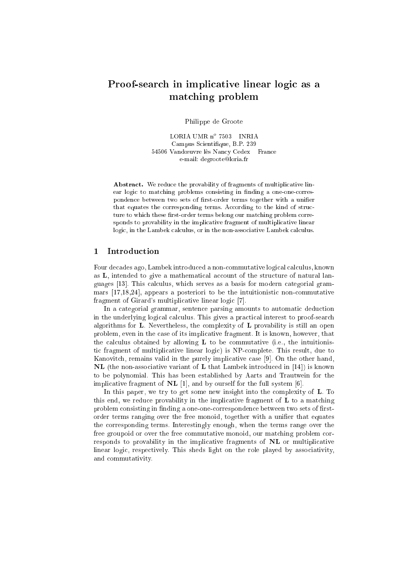# Proof-sear
h in impli
ative linear logi as <sup>a</sup> mat
hing problem

Philippe de Groote

LORIA UMR N° 1903 = INRIA Campus S
ientique, B.P. 239 54506 Vandœuvre lès Nancy Cedex - France e-mail: degroote@loria.fr

Abstract. We reduce the provability of fragments of multiplicative linear logic to matching problems consisting in finding a one-one-correspondence between two sets of first-order terms together with a unifier that equates the corresponding terms. According to the kind of structure to which these first-order terms belong our matching problem corresponds to provability in the implicative fragment of multiplicative linear logic, in the Lambek calculus, or in the non-associative Lambek calculus.

Four decades ago, Lambek introduced a non-commutative logical calculus, known as  $L$ , intended to give a mathematical account of the structure of natural languages [13]. This calculus, which serves as a basis for modern categorial grammars  $[17,18,24]$ , appears a posteriori to be the intuitionistic non-commutative fragment of Girard's multiplicative linear logic [7].

In a categorial grammar, sentence parsing amounts to automatic deduction in the underlying logical calculus. This gives a practical interest to proof-search algorithms for **L**. Nevertheless, the complexity of **L** provability is still an open problem, even in the case of its implicative fragment. It is known, however, that the calculus obtained by allowing  $L$  to be commutative (i.e., the intuitionistic fragment of multiplicative linear logic) is NP-complete. This result, due to Kanovitch, remains valid in the purely implicative case [9]. On the other hand,  $NL$  (the non-associative variant of L that Lambek introduced in [14]) is known to be polynomial. This has been established by Aarts and Trautwein for the implicative fragment of  $NL$  [1], and by ourself for the full system [6].

In this paper, we try to get some new insight into the complexity of **L**. To this end, we reduce provability in the implicative fragment of **L** to a matching problem consisting in finding a one-one-correspondence between two sets of firstorder terms ranging over the free monoid, together with a unifier that equates the orresponding terms. Interestingly enough, when the terms range over the free groupoid or over the free commutative monoid, our matching problem corresponds to provability in the impli
ative fragments of NL or multipli
ative linear logic, respectively. This sheds light on the role played by associativity, and ommutativity.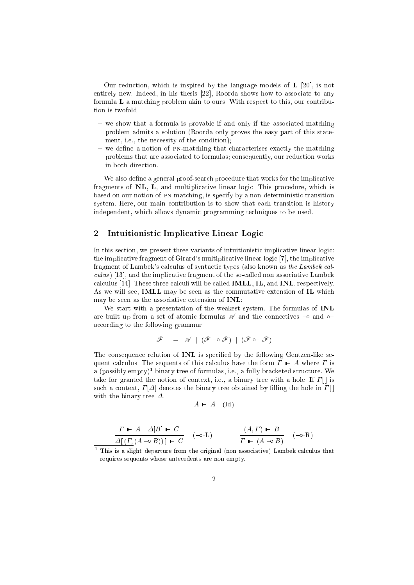Our reduction, which is inspired by the language models of  $\bf{L}$  [20], is not entirely new. Indeed, in his thesis  $[22]$ , Roorda shows how to associate to any formula L a matching problem akin to ours. With respect to this, our contribution is twofold:

- we show that a formula is provable if and only if the associated matching problem admits a solution (Roorda only proves the easy part of this statement, i.e., the necessity of the condition);
- $-$  we define a notion of PN-matching that characterises exactly the matching problems that are associated to formulas; consequently, our reduction works in both dire
tion.

We also define a general proof-search procedure that works for the implicative fragments of  $NL$ , L, and multiplicative linear logic. This procedure, which is based on our notion of pn-mat
hing, is spe
ify by a non-deterministi transition system. Here, our main contribution is to show that each transition is history independent, which allows dynamic programming techniques to be used.

## 2 Intuitionistic Implicative Linear Logic

In this section, we present three variants of intuitionistic implicative linear logic: the implicative fragment of Girard's multiplicative linear logic [7], the implicative fragment of Lambek's calculus of syntactic types (also known as the Lambek caliative , proprietor case and processes are sophistical association to the so-case of the so-case association calculus  $[14]$ . These three calculi will be called **IMLL**, **IL**, and **INL**, respectively. As we will see, **IMLL** may be seen as the commutative extension of **IL** which may be seen as the asso
iative extension of INL:

We start with a presentation of the weakest system. The formulas of INL are built up from a set of atomic formulas  $\mathscr A$  and the connectives  $\multimap$  and  $\circ$ according to the following grammar:

$$
\mathscr{F} \ ::= \ \mathscr{A} \ | \ (\mathscr{F} \multimap \mathscr{F}) \ | \ (\mathscr{F} \mathsf{o} \multimap \mathscr{F})
$$

The consequence relation of **INL** is specified by the following Gentzen-like sequent calculus. The sequents of this calculus have the form  $\Gamma$   $\vdash$  A where  $\Gamma$  is a (possibly empty) – binary tree of formulas, i.e., a fully bracketed structure. We take for granted the notion of context, i.e., a binary tree with a hole. If  $\Gamma[\cdot]$  is such a context,  $\Gamma[\Delta]$  denotes the binary tree obtained by filling the hole in  $\Gamma[\cdot]$ with the binary tree  $\Delta$ .

$$
A \vdash A \quad (\mathrm{Id})
$$

$$
\frac{\Gamma \vdash A \quad \Delta[B] \vdash C}{\Delta[(\Gamma, (A \multimap B))] \vdash C} \quad (\multimap \text{-L}) \qquad \frac{(A, \Gamma) \vdash B}{\Gamma \vdash (A \multimap B)} \quad (\multimap \text{-R})
$$

This is a slight departure from the original (non associative) Lambek calculus that requires sequents whose ante
edents are non empty.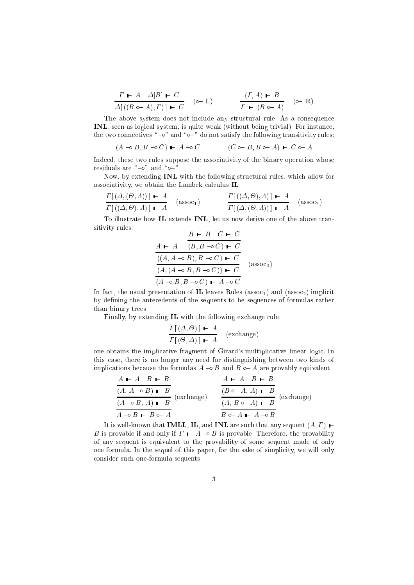$$
\frac{\Gamma \vdash A \quad \varDelta[B] \vdash C}{\varDelta[\left((B \circ\!\! -A),\varGamma\right)] \vdash C} \quad (\circ\!\!-\!\!-\!\!L) \qquad \qquad \frac{(\varGamma,A) \vdash B}{\varGamma \vdash (B \circ\!\! -A)} \quad (\circ\!\!-\!\!-\!\!R)
$$

The above system does not include any structural rule. As a consequence INL, seen as logical system, is quite weak (without being trivial). For instance, the two connectives " $\sim$ " and " $\sim$ " do not satisfy the following transitivity rules:

$$
(A \multimap B, B \multimap C) \vdash A \multimap C \qquad \qquad (C \multimap B, B \multimap A) \vdash C \multimap A
$$

Indeed, these two rules suppose the asso
iativity of the binary operation whose residuals are " $\sim$ " and " $\sim$ ".

Now, by extending **INL** with the following structural rules, which allow for associativity, we obtain the Lambek calculus IL:

$$
\frac{\Gamma[(\Delta,(\Theta,\Lambda))] \vdash A}{\Gamma[((\Delta,\Theta),\Lambda)] \vdash A} \quad \text{(assoc}_1) \qquad \frac{\Gamma[((\Delta,\Theta),\Lambda)] \vdash A}{\Gamma[(\Delta,(\Theta,\Lambda))] \vdash A} \quad \text{(assoc}_2)
$$

To illustrate how IL extends INL, let us now derive one of the above transitivity rules:

$$
\frac{A \vdash A \quad (B, B \multimap C) \vdash C}{(A, A \multimap B), B \multimap C) \vdash C}
$$
\n
$$
\frac{((A, A \multimap B), B \multimap C) \vdash C}{(A, (A \multimap B, B \multimap C)) \vdash C}
$$
\n(assoc<sub>2</sub>)\n
$$
(A \multimap B, B \multimap C) \vdash A \multimap C
$$

In fact, the usual presentation of **IL** leaves Rules ( $assoc<sub>1</sub>$ ) and ( $assoc<sub>2</sub>$ ) implicit by defining the antecedents of the sequents to be sequences of formulas rather than binary trees.

Finally, by extending IL with the following ex
hange rule:

$$
\frac{\Gamma[(\Delta,\Theta)] \vdash A}{\Gamma[(\Theta,\Delta)] \vdash A}
$$
 (exchange)

one obtains the implicative fragment of Girard's multiplicative linear logic. In this ase, there is no longer any need for distinguishing between two kinds of implications because the formulas  $A \rightarrow B$  and  $B \rightarrow A$  are provably equivalent:

$$
\frac{A \vdash A \quad B \vdash B}{(A, A \multimap B) \vdash B}
$$
\n
$$
\frac{(A \multimap B) \vdash B}{(A \multimap B, A) \vdash B}
$$
\n
$$
\frac{(B \multimap A, A) \vdash B}{(A, B \multimap A) \vdash B}
$$
\n
$$
\frac{(B \multimap A, A) \vdash B}{(A, B \multimap A) \vdash B}
$$
\n
$$
\frac{(A \multimap B, A) \vdash B}{(A, B \multimap A) \vdash B}
$$
\n
$$
\frac{(A \multimap B, A) \vdash B}{(A, B \multimap A) \vdash B}
$$

It is well-known that **IMLL**, **IL**, and **INL** are such that any sequent  $(A, \Gamma)$   $\vdash$ B is provable if and only if  $\Gamma \vdash A \multimap B$  is provable. Therefore, the provability of any sequent is equivalent to the provability of some sequent made of only one formula. In the sequel of this paper, for the sake of simplicity, we will only onsider su
h one-formula sequents.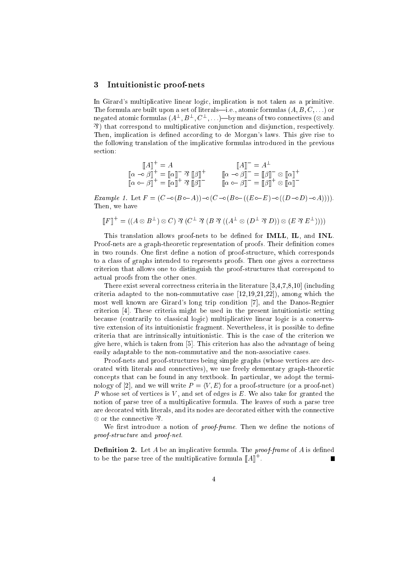#### 3 Intuitionistic proof-nets

In Girard's multiplicative linear logic, implication is not taken as a primitive. The formula are built upon a set of literals—i.e., atomic formulas  $(A, B, C, ...)$  or  ${\rm negative}$  atomic formulas  $(A^-, D^-, \cup^-, \ldots)$  over the ans of two connectives ( $\otimes$  and & ) that orrespond to multipli
ative onjun
tion and disjun
tion, respe
tively. Then, implication is defined according to de Morgan's laws. This give rise to the following translation of the implicative formulas introduced in the previous section:

$$
\begin{aligned}\n\llbracket A \rrbracket^+ &= A & \llbracket A \rrbracket^- &= A^\perp \\
\llbracket \alpha - \beta \rrbracket^+ &= \llbracket \alpha \rrbracket^- \mathcal{R} \llbracket \beta \rrbracket^+ & \llbracket \alpha - \beta \rrbracket^- = \llbracket \beta \rrbracket^- \otimes \llbracket \alpha \rrbracket^+ \\
\llbracket \alpha - \beta \rrbracket^+ &= \llbracket \beta \rrbracket^- \otimes \llbracket \alpha \rrbracket^+ \\
\llbracket \alpha - \beta \rrbracket^- &= \llbracket \beta \rrbracket^- \otimes \llbracket \alpha \rrbracket^+ \\
\llbracket \alpha \rrbracket^- &= \llbracket \beta \rrbracket^- \otimes \llbracket \alpha \rrbracket^-\n\end{aligned}
$$

Example 1. Let F = (C Æ(BÆA))Æ(C Æ(BÆ((EÆE)Æ((DÆD)ÆA)))). Then, we have

$$
[[F]]^+ = ((A \otimes B^\perp) \otimes C) \mathfrak{N} (C^\perp \mathfrak{N} (B \mathfrak{N} ((A^\perp \otimes (D^\perp \mathfrak{N} D)) \otimes (E \mathfrak{N} E^\perp))))
$$

This translation allows proof-nets to be defined for **IMLL**, **IL**, and **INL**. Proof-nets are a graph-theoretic representation of proofs. Their definition comes in two rounds. One first define a notion of proof-structure, which corresponds to a class of graphs intended to represents proofs. Then one gives a correctness riterion that allows one to distinguish the proof-stru
tures that orrespond to a
tual proofs from the other ones.

There exist several correctness criteria in the literature  $[3,4,7,8,10]$  (including criteria adapted to the non-commutative case  $[12,19,21,22]$ , among which the most well known are Girard's long trip condition [7], and the Danos-Regnier criterion [4]. These criteria might be used in the present intuitionistic setting because (contrarily to classical logic) multiplicative linear logic is a conservative extension of its intuitionisti fragment. Nevertheless, it is possible to dene criteria that are intrinsically intuitionistic. This is the case of the criterion we give here, which is taken from [5]. This criterion has also the advantage of being easily adaptable to the non-commutative and the non-associative cases.

Proof-nets and proof-structures being simple graphs (whose vertices are decorated with literals and connectives), we use freely elementary graph-theoretic concepts that can be found in any textbook. In particular, we adopt the terminology of [2], and we will write  $P = \langle V, E \rangle$  for a proof-structure (or a proof-net) P whose set of vertices is V, and set of edges is  $E$ . We also take for granted the notion of parse tree of a multipli
ative formula. The leaves of su
h a parse tree are decorated with literals, and its nodes are decorated either with the connective  $\otimes$  or the connective  $\mathcal{\%}.$ 

We first introduce a notion of *proof-frame*. Then we define the notions of proof-stru
ture and proof-net.

**Definition 2.** Let A be an implicative formula. The *proof-frame* of A is defined to be the parse tree of the multiplicative formula  $\|A\|$  .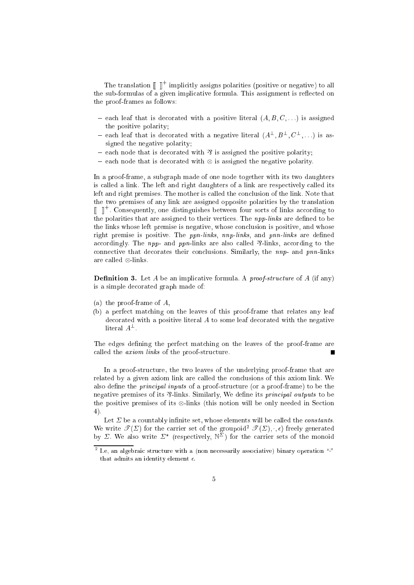The translation  $\|\cdot\|$  implicitly assigns polarities (positive or negative) to all the sub-formulas of a given implicative formula. This assignment is reflected on the proof-frames as follows:

- $=$  each leaf that is decorated with a positive literal  $(A, B, C, \ldots)$  is assigned the positive polarity;
- $=$  each leaf that is decorated with a negative literal  $(A^-, B^-, \cup^-, \ldots)$  is assigned the negative polarity;
- $=$  each node that is decorated with  $\mathcal{E}$  is assigned the positive polarity;
- $\overline{\phantom{0}}$ { ea
h node that is de
orated with is assigned the negative polarity.

In a proof-frame, a subgraph made of one node together with its two daughters is called a link. The left and right daughters of a link are respectively called its left and right premises. The mother is called the conclusion of the link. Note that the two premises of any link are assigned opposite polarities by the translation  $\parallel\;\;\parallel$  . Consequently, one distinguishes between four sorts of links according to the polarities that are assigned to their vertices. The *npp-links* are defined to be the links whose left premise is negative, whose conclusion is positive, and whose right premise is positive. The *ppn-links*, *nnp-links*, and *pnn-links* are defined accordingly. The *npp*- and *ppn*-links are also called  $\mathcal{P}$ -links, according to the connective that decorates their conclusions. Similarly, the *nnp*- and *pnn*-links are alled -links.

**Definition 3.** Let A be an implicative formula. A *proof-structure* of A (if any) is a simple de
orated graph made of:

- (a) the proof-frame of A,
- (b) a perfe
t mat
hing on the leaves of this proof-frame that relates any leaf de
orated with a positive literal A to some leaf de
orated with the negative  $\mu$ eral  $A^-$  .

The edges defining the perfect matching on the leaves of the proof-frame are called the *axiom links* of the proof-structure.

In a proof-structure, the two leaves of the underlying proof-frame that are related by a given axiom link are called the conclusions of this axiom link. We also define the *principal inputs* of a proof-structure (or a proof-frame) to be the negative premises of its  $\mathcal{P}-$ links. Similarly, We define its *principal outputs* to be the positive premises in the common (this notion will be only needed in Section will 4).

Let  $\Sigma$  be a countably infinite set, whose elements will be called the *constants*. We write  $\mathcal{T}(\Sigma)$  for the carrier set of the groupoid<sup>2</sup>  $\mathcal{T}(\Sigma)$ ,  $\ldots$ , freely generated by  $\vartriangle$ . We also write  $\vartriangle$  (respectively,  $\mathbb{N}^-$ ) for the carrier sets of the monoid

the, an algebraic structure with a (non-necessarily associative) binary operation "H that admits an identity element  $\epsilon$ .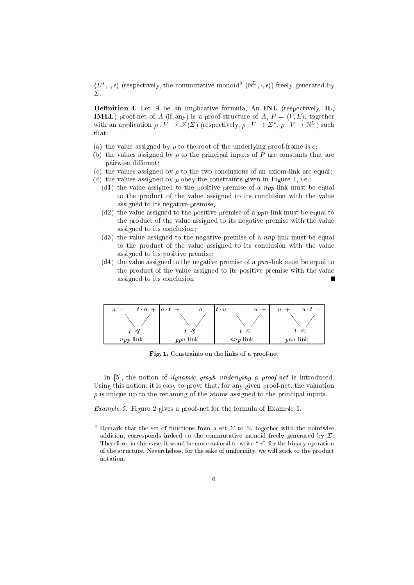$\{\varphi_1,\varphi_2\}$  (respectively, the commutative monoid  $\{\mathbb{N}^-, \varphi_i\}$ ) freely generated by

**Definition 4.** Let  $A$  be an implicative formula, An **INL** (respectively, **IL**, **IMLL**) proof-net of A (if any) is a proof-structure of A,  $P = \langle V, E \rangle$ , together with an application  $\rho: V \to \mathscr{T}(\Sigma)$  (respectively,  $\rho: V \to \Sigma^*, \rho: V \to \mathbb{N}^{\Sigma}$ ) such that:

- (a) the value assigned by  $\rho$  to the root of the underlying proof-frame is  $\epsilon$ ;
- (b) the values assigned by  $\rho$  to the principal inputs of P are constants that are pairwise different;
- (c) the values assigned by  $\rho$  to the two conclusions of an axiom-link are equal;
- (d) the values assigned by  $\rho$  obey the constraints given in Figure 1, i.e.:
	- (d1) the value assigned to the positive premise of a  $npp$ -link must be equal to the product of the value assigned to its conclusion with the value assigned to its negative premise,
	- $(d2)$  the value assigned to the positive premise of a *ppn*-link must be equal to the product of the value assigned to its negative premise with the value assigned to its on
	lusion;
	- (d3) the value assigned to the negative premise of a nnp-link must be equal to the product of the value assigned to its conclusion with the value assigned to its positive premise;
	- $(d4)$  the value assigned to the negative premise of a pnn-link must be equal to the product of the value assigned to its positive premise with the value assigned to its on
	lusion.



Fig. 1. Constraints on the links of a proof-net

In  $[5]$ , the notion of *dynamic graph underlying a proof-net* is introduced. Using this notion, it is easy to prove that, for any given proof-net, the valuation  $\rho$  is unique up to the renaming of the atoms assigned to the principal inputs.

Example 5. Figure 2 gives a proof-net for the formula of Example 1.

 $\degree$  Remark that the set of functions from a set  $\Sigma$  to N, together with the pointwise addition, corresponds indeed to the commutative monoid freely generated by  $\Sigma$ . Therefore, in this case, it woud be more natural to write "+" for the binary operation of the structure. Nevertheless, for the sake of uniformity, we will stick to the product notation.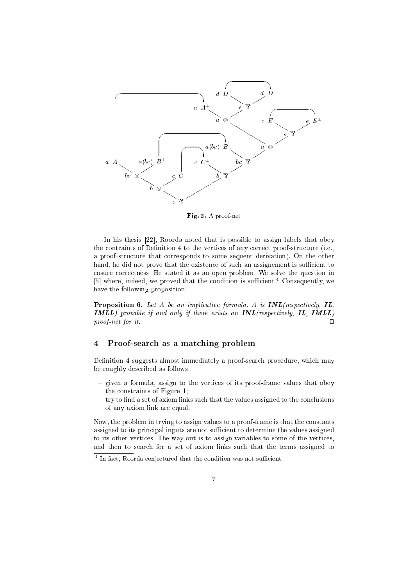

Fig. 2. A proof-net

In his thesis  $[22]$ , Roorda noted that is possible to assign labels that obey the contraints of Definition 4 to the vertices of any correct proof-structure (i.e., a proof-structure that corresponds to some sequent derivation). On the other hand, he did not prove that the existence of such an assignement is sufficient to ensure orre
tness. He stated it as an open problem. We solve the question in of where, indeed, we proved that the condition is sunicient. Consequently, we have the following proposition.

**Proposition 6.** Let A be an implicative formula. A is  $INL$  (respectively,  $IL$ ,  $IMLL$ ) provable if and only if there exists an  $INL$ (respectively,  $IL$ ,  $IMLL$ ) proof net for it for it. Under the contract of the contract of the contract of the contract of the contract of the contract of the contract of the contract of the contract of the contract of the contract of the contract of the contract of

#### $\overline{4}$ Proof-search as a matching problem

Definition 4 suggests almost immediately a proof-search procedure, which may be roughly des
ribed as follows:

- given a formula, assign to the vertices of its proof-frame values that obey the onstraints of Figure 1;
- $-$  try to find a set of axiom links such that the values assigned to the conclusions of any axiom link are equal.

Now, the problem in trying to assign values to a proof-frame is that the onstants assigned to its principal inputs are not sufficient to determine the values assigned to its other verti
es. The way out is to assign variables to some of the verti
es, and then to sear
h for a set of axiom links su
h that the terms assigned to

<sup>4</sup> In fa
t, Roorda onje
tured that the ondition was not suÆ
ient.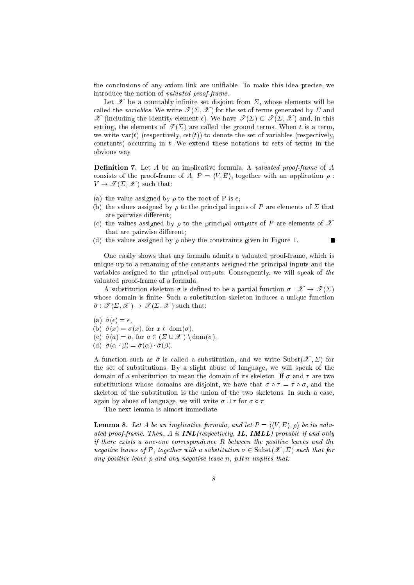the conclusions of any axiom link are unifiable. To make this idea precise, we introduce the notion of valuated proof-frame.

Let  $\mathscr X$  be a countably infinite set disjoint from  $\Sigma$ , whose elements will be called the variables. We write  $\mathcal{T}(\Sigma, \mathcal{X})$  for the set of terms generated by  $\Sigma$  and  $\mathscr X$  (including the identity element  $\epsilon$ ). We have  $\mathscr T(\Sigma) \subset \mathscr T(\Sigma, \mathscr X)$  and, in this setting, the elements of  $\mathscr{T}(\Sigma)$  are called the ground terms. When t is a term, we write var(t) (respectively,  $cst(t)$ ) to denote the set of variables (respectively, constants) occurring in  $t$ . We extend these notations to sets of terms in the obvious way.

**Definition 7.** Let A be an implicative formula. A valuated proof-frame of A consists of the proof-frame of A,  $P = \langle V, E \rangle$ , together with an application  $\rho$ :  $V \to \mathscr{T}(\Sigma, \mathscr{X})$  such that:

- (a) the value assigned by  $\rho$  to the root of P is  $\epsilon$ ;
- (b) the values assigned by  $\rho$  to the principal inputs of P are elements of  $\Sigma$  that are pairwise different;
- (c) the values assigned by  $\rho$  to the principal outputs of P are elements of  $\mathscr X$ that are pairwise different;

 $\blacksquare$ 

(d) the values assigned by  $\rho$  obey the constraints given in Figure 1.

One easily shows that any formula admits a valuated proof-frame, which is unique up to a renaming of the constants assigned the principal inputs and the variables assigned to the principal outputs. Consequently, we will speak of the valuated proof-frame of a formula.

A substitution skeleton  $\sigma$  is defined to be a partial function  $\sigma : \mathcal{X} \to \mathcal{I}(\Sigma)$ whose domain is finite. Such a substitution skeleton induces a unique function  $\hat{\sigma}: \mathscr{T}(\Sigma, \mathscr{X}) \to \mathscr{T}(\Sigma, \mathscr{X})$  such that:

(a)  $\hat{\sigma}(\epsilon) = \epsilon$ , (b)  $\hat{\sigma}(x) = \sigma(x)$ , for  $x \in \text{dom}(\sigma)$ , (c)  $\hat{\sigma}(a) = a$ , for  $a \in (\Sigma \cup \mathcal{X}) \setminus \text{dom}(\sigma)$ , (d)  $\hat{\sigma}(\alpha \cdot \beta) = \hat{\sigma}(\alpha) \cdot \hat{\sigma}(\beta)$ .

A function such as  $\hat{\sigma}$  is called a substitution, and we write Subst $(\mathscr{X}, \Sigma)$  for the set of substitutions. By a slight abuse of language, we will speak of the domain of a substitution to mean the domain of its skeleton. If  $\sigma$  and  $\tau$  are two substitutions whose domains are disjoint, we have that  $\sigma \circ \tau = \tau \circ \sigma$ , and the skeleton of the substitution is the union of the two skeletons. In such a case, again by abuse of language, we will write  $\sigma \cup \tau$  for  $\sigma \circ \tau$ .

The next lemma is almost immediate.

**Lemma 8.** Let A be an implicative formula, and let  $P = \langle \langle V, E \rangle, \rho \rangle$  be its valuated proof-frame. Then, A is **INL**(respectively, **IL, IMLL**) provable if and only if there exists a one-one correspondence  $R$  between the positive leaves and the negative leaves of P, together with a substitution  $\sigma \in \text{Subst}(\mathscr{X}, \Sigma)$  such that for any positive leave p and any negative leave n,  $p R n$  implies that: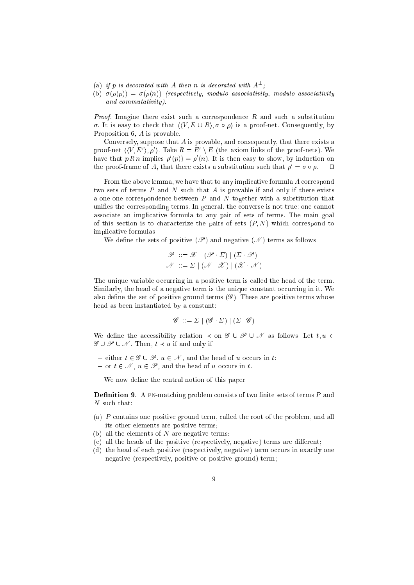- (a) if p is aecorated with A then n is aecorated with  $A^-$ ;
- (b)  $\sigma(\rho(p)) = \sigma(\rho(n))$  (respectively, modulo associativity, modulo associativity and ommutativity).

Proof. Imagine there exist su
h a orresponden
e R and su
h a substitution  $\sigma$ . It is easy to check that  $\langle \langle V, E \cup R \rangle, \sigma \circ \rho \rangle$  is a proof-net. Consequently, by Proposition 6, A is provable.

Conversely, suppose that A is provable, and onsequently, that there exists a proof-net  $((V, E), \rho)$ . Take  $R \equiv E_0 \setminus E$  (the axiom links of the proof-nets). We have that  $p \, R \, n$  implies  $p \, (\bar{p}) \equiv p \, (\bar{n})$ . It is then easy to show, by induction on the proof-frame of A, that there exists a substitution such that  $\rho' = \sigma \circ \rho$ .  $\Box$ 

From the above lemma, we have that to any implicative formula A correspond two sets of terms  $P$  and  $N$  such that  $A$  is provable if and only if there exists a one-oneorresponden
e between P and N together with a substitution that unifies the corresponding terms. In general, the converse is not true: one cannot associate an implicative formula to any pair of sets of terms. The main goal of this section is to characterize the pairs of sets  $(P, N)$  which correspond to impli
ative formulas.

We define the sets of positive  $(\mathscr{P})$  and negative  $(\mathscr{N})$  terms as follows:

$$
\mathscr{P} ::= \mathscr{X} | (\mathscr{P} \cdot \Sigma) | (\Sigma \cdot \mathscr{P})
$$

$$
\mathscr{N} ::= \Sigma | (\mathscr{N} \cdot \mathscr{X}) | (\mathscr{X} \cdot \mathscr{N})
$$

The unique variable occurring in a positive term is called the head of the term. Similarly, the head of a negative term is the unique constant occurring in it. We also define the set of positive ground terms  $(\mathscr{G})$ . These are positive terms whose head as been instantiated by a onstant:

$$
\mathscr{G} ::= \Sigma \mid (\mathscr{G} \cdot \Sigma) \mid (\Sigma \cdot \mathscr{G})
$$

We define the accessibility relation  $\prec$  on  $\mathscr{G} \cup \mathscr{P} \cup \mathscr{N}$  as follows. Let  $t, u \in$  $\mathscr{G} \cup \mathscr{P} \cup \mathscr{N}$ . Then,  $t \prec u$  if and only if:

- either  $t \in \mathscr{G} \cup \mathscr{P}, u \in \mathscr{N}$ , and the head of u occurs in t;
- $\{-\text{ or }t\in\mathcal{N},u\in\mathcal{P},\text{ and the head of }u\text{ occurs in }t.\}$

We now define the central notion of this paper

**Definition 9.** A PN-matching problem consists of two finite sets of terms  $P$  and N such that:

- (a) P ontains one positive ground term, alled the root of the problem, and all its other elements are positive terms;
- (b) all the elements of  $N$  are negative terms;
- (c) all the heads of the positive (respectively, negative) terms are different;
- (d) the head of ea
h positive (respe
tively, negative) term o

urs in exa
tly one negative (respe
tively, positive or positive ground) term;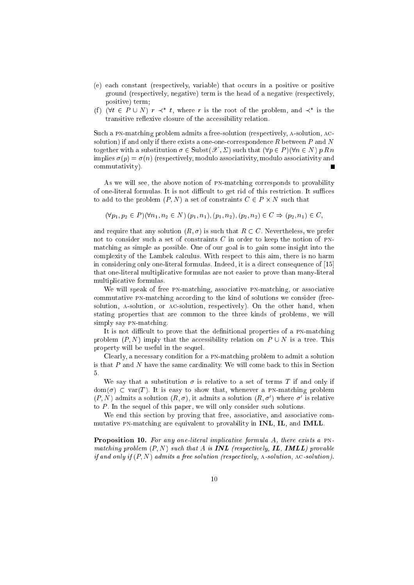- (e) ea
h onstant (respe
tively, variable) that o

urs in a positive or positive ground (respe
tively, negative) term is the head of a negative (respe
tively, positive) term;
- (1) (v $t \in F \cup N$ )  $r \prec t$ , where r is the root of the problem, and  $\prec$  is the transitive reflexive closure of the accessibility relation.

Such a PN-matching problem admits a free-solution (respectively, A-solution, ACsolution) if and only if there exists a one-one-correspondence R between P and N together with a substitution  $\sigma \in \text{Subst}(\mathscr{X}, \Sigma)$  such that  $(\forall p \in P)(\forall n \in N)$  p R n implies  $\sigma(p) = \sigma(n)$  (respectively, modulo associativity, modulo associativity and ommutativity).

As we will see, the above notion of PN-matching corresponds to provability of one-literal formulas. It is not difficult to get rid of this restriction. It suffices to add to the problem (P; N) a set of onstraints C <sup>2</sup> P - N su
h that

$$
(\forall p_1, p_2 \in P)(\forall n_1, n_2 \in N) (p_1, n_1), (p_1, n_2), (p_2, n_2) \in C \Rightarrow (p_2, n_1) \in C,
$$

and require that any solution  $(R, \sigma)$  is such that  $R \subset C$ . Nevertheless, we prefer not to consider such a set of constraints  $C$  in order to keep the notion of PNmat
hing as simple as possible. One of our goal is to gain some insight into the complexity of the Lambek calculus. With respect to this aim, there is no harm in considering only one-literal formulas. Indeed, it is a direct consequence of [15] that one-literal multipli
ative formulas are not easier to prove than many-literal multipli
ative formulas.

We will speak of free PN-matching, associative PN-matching, or associative commutative PN-matching according to the kind of solutions we consider (freesolution, A-solution, or AC-solution, respectively). On the other hand, when stating properties that are ommon to the three kinds of problems, we will simply say pn-mat
hing.

It is not difficult to prove that the definitional properties of a PN-matching problem  $(P, N)$  imply that the accessibility relation on  $P \cup N$  is a tree. This property will be useful in the sequel.

Clearly, a necessary condition for a PN-matching problem to admit a solution is that  $P$  and  $N$  have the same cardinality. We will come back to this in Section 5.

We say that a substitution  $\sigma$  is relative to a set of terms T if and only if  $dom(\sigma) \subset var(T)$ . It is easy to show that, whenever a PN-matching problem  $(P, N)$  admits a solution  $(R, \sigma)$ , it admits a solution  $(R, \sigma)$  where  $\sigma$  is relative to  $P$ . In the sequel of this paper, we will only consider such solutions.

We end this section by proving that free, associative, and associative commutative PN-matching are equivalent to provability in **INL, IL**, and **IMLL**.

**Proposition 10.** For any one-literal implicative formula A, there exists a PNmat
hing problem (P; N) su
h that A is INL (respe
tively, IL, IMLL) provable if and only if (P; N) admits <sup>a</sup> free solution (respe
tively, a-solution, a
-solution).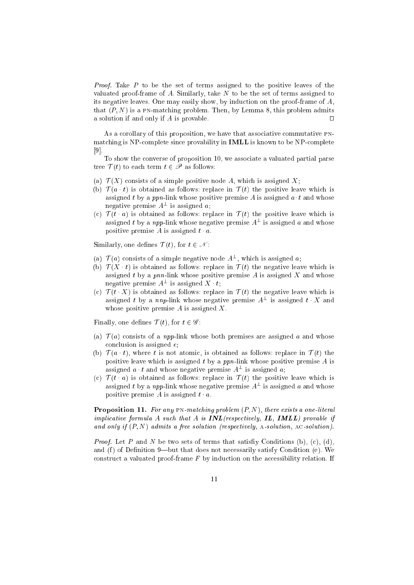Proof. Take P to be the set of terms assigned to the positive leaves of the valuated proof-frame of A. Similarly, take  $N$  to be the set of terms assigned to its negative leaves. One may easily show, by indu
tion on the proof-frame of A, that  $(P, N)$  is a PN-matching problem. Then, by Lemma 8, this problem admits a solution if and only if A is provable.  $\Box$ 

As a corollary of this proposition, we have that associative commutative PNmatching is NP-complete since provability in **IMLL** is known to be NP-complete  $[9]$ 

To show the onverse of proposition 10, we asso
iate a valuated partial parse tree  $\mathcal{T}(t)$  to each term  $t \in \mathscr{P}$  as follows:

- (a)  $\mathcal{T}(X)$  consists of a simple positive node A, which is assigned X;
- (b)  $\mathcal{T}(a \cdot t)$  is obtained as follows: replace in  $\mathcal{T}(t)$  the positive leave which is assigned t by a ppn-link whose positive premise  $A$  is assigned  $a \cdot t$  and whose negative premise  $A^-$  is assigned  $a$ ;
- (c)  $\mathcal{T}(t \cdot a)$  is obtained as follows: replace in  $\mathcal{T}(t)$  the positive leave which is assigned t by a  $npp$ -link whose negative premise  $A^-$  is assigned  $a$  and whose positive premise A is assigned  $t \cdot a$ .

Similarly, one defines  $\mathcal{T}(t)$ , for  $t \in \mathcal{N}$ :

- (a)  $T(a)$  consists of a simple negative node  $A^-$ , which is assigned a;
- (b)  $\mathcal{T}(X \cdot t)$  is obtained as follows: replace in  $\mathcal{T}(t)$  the negative leave which is assigned t by a pnn-link whose positive premise  $A$  is assigned  $X$  and whose negative premise  $A^-$  is assigned  $\Lambda \cdot t$ ;
- (c)  $\mathcal{T}(t \cdot X)$  is obtained as follows: replace in  $\mathcal{T}(t)$  the negative leave which is assigned t by a  $nnp$ -link whose negative premise  $A^-$  is assigned t  $\Lambda$  and whose positive premise  $A$  is assigned  $X$ .

Finally, one defines  $\mathcal{T}(t)$ , for  $t \in \mathscr{G}$ :

- (a)  $\mathcal{T}(a)$  consists of a *npp*-link whose both premises are assigned a and whose conclusion is assigned  $\epsilon$ ;
- (b)  $\mathcal{T}(a \cdot t)$ , where t is not atomic, is obtained as follows: replace in  $\mathcal{T}(t)$  the positive leave which is assigned  $t$  by a ppn-link whose positive premise  $A$  is assigned  $a \cdot t$  and whose negative premise  $A^-$  is assigned  $a$ ;
- (c)  $\mathcal{T}(t \cdot a)$  is obtained as follows: replace in  $\mathcal{T}(t)$  the positive leave which is assigned t by a  $npp$ -link whose negative premise  $A^-$  is assigned  $a$  and whose positive premise A is assigned  $t \cdot a$ .

**Proposition 11.** For any  $PN$ -matching problem  $(P, N)$ , there exists a one-literal implicative formula as a substitution of the providence  $\eta$  , in the set of the substitution of the substitution of and only if (P; N) admits <sup>a</sup> free solution (respe
tively, a-solution, a
-solution).

Proof. Let P and N be two sets of terms that satisy Conditions (b), (
), (d), and  $(f)$  of Definition 9—but that does not necessarily satisfy Condition (e). We construct a valuated proof-frame  $F$  by induction on the accessibility relation. If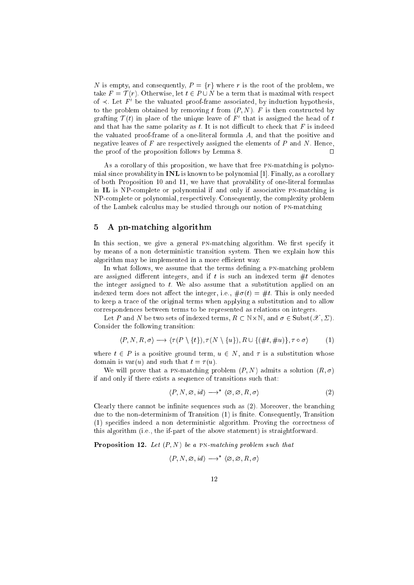N is empty, and consequently,  $P = \{r\}$  where r is the root of the problem, we take  $F = \mathcal{T}(r)$ . Otherwise, let  $t \in P \cup N$  be a term that is maximal with respect of  $\prec$ . Let  $F$  be the valuated proof-frame associated, by induction hypothesis, to the problem obtained by removing t from  $(P, N)$ . F is then constructed by grafting  $T(t)$  in place of the unique leave of  $F$  -that is assigned the head of  $t$ and that has the same polarity as  $t$ . It is not difficult to check that  $F$  is indeed the valuated proof-frame of a one-literal formula A, and that the positive and negative leaves of  $F$  are respectively assigned the elements of  $P$  and  $N$ . Hence, the proof of the proposition follows by Lemma 8.  $\Box$ 

As a corollary of this proposition, we have that free PN-matching is polynomial since provability in  $\textbf{INL}$  is known to be polynomial [1]. Finally, as a corollary of both Proposition 10 and 11, we have that provability of one-literal formulas in IL is NPomplete or polynomial if and only if asso
iative pn-mat
hing is NPomplete or polynomial, respe
tively. Consequently, the omplexity problem of the Lambek calculus may be studied through our notion of PN-matching

### 5 A pn-mat
hing algorithm

In this section, we give a general PN-matching algorithm. We first specify it by means of a non deterministi transition system. Then we explain how this algorithm may be implemented in a more efficient way.

In what follows, we assume that the terms defining a PN-matching problem are assigned different integers, and if t is such an indexed term  $#t$  denotes the integer assigned to  $t$ . We also assume that a substitution applied on an indexed term does not affect the integer, i.e.,  $\#\sigma(t) = \#t$ . This is only needed to keep a tra
e of the original terms when applying a substitution and to allow orresponden
es between terms to be represented as relations on integers.

Let P and N be two sets of indexed terms,  $R \subset N \times N$ , and  $\sigma \in \text{Subst}(\mathscr{X}, \Sigma)$ . Consider the following transition:

$$
\langle P, N, R, \sigma \rangle \longrightarrow \langle \tau(P \setminus \{t\}), \tau(N \setminus \{u\}), R \cup \{(\#t, \#u)\}, \tau \circ \sigma \rangle \tag{1}
$$

where  $t \in P$  is a positive ground term,  $u \in N$ , and  $\tau$  is a substitution whose domain is var(u) and such that  $t = \tau(u)$ .

We will prove that a PN-matching problem  $(P, N)$  admits a solution  $(R, \sigma)$ if and only if there exists a sequen
e of transitions su
h that:

$$
\langle P, N, \varnothing, id \rangle \longrightarrow^* \langle \varnothing, \varnothing, R, \sigma \rangle \tag{2}
$$

Clearly there cannot be infinite sequences such as  $(2)$ . Moreover, the branching due to the non-determinism of Transition (1) is finite. Consequently, Transition (1) spe
ies indeed a non deterministi algorithm. Proving the orre
tness of this algorithm (i.e., the if-part of the above statement) is straightforward.

**Proposition 12.** Let  $(P, N)$  be a PN-matching problem such that

$$
\langle P, N, \varnothing, id \rangle \longrightarrow^* \langle \varnothing, \varnothing, R, \sigma \rangle
$$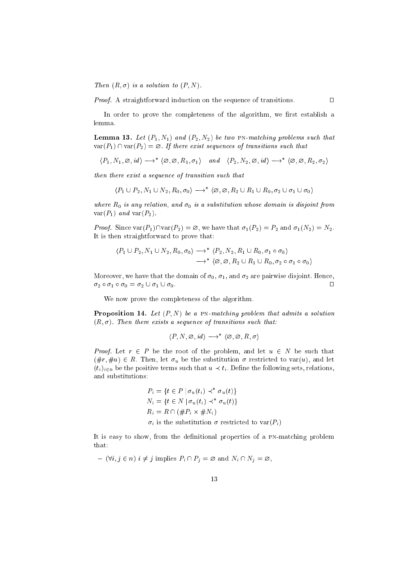Then (R; ) is <sup>a</sup> solution to (P; N).

Proof. A straightforward indu
tion on the sequen
e of transitions. ut

In order to prove the completeness of the algorithm, we first establish a lemma.

 $\Box$ 

**Lemma 13.** Let  $(P_1, N_1)$  and  $(P_2, N_2)$  be two PN-matching problems such that  $var(P_1) \cap var(P_2) = \emptyset$ . If there exist sequences of transitions such that

$$
\langle P_1, N_1, \varnothing, id \rangle \longrightarrow^* \langle \varnothing, \varnothing, R_1, \sigma_1 \rangle \quad and \quad \langle P_2, N_2, \varnothing, id \rangle \longrightarrow^* \langle \varnothing, \varnothing, R_2, \sigma_2 \rangle
$$

then there exist <sup>a</sup> sequen
e of transition su
h that

$$
\langle P_1 \cup P_2, N_1 \cup N_2, R_0, \sigma_0 \rangle \longrightarrow^* \langle \varnothing, \varnothing, R_2 \cup R_1 \cup R_0, \sigma_2 \cup \sigma_1 \cup \sigma_0 \rangle
$$

where R0 is any relation, and 0 is a substitution whose domain is disjoint from  $var(P_1)$  and  $var(P_2)$ .

Proof. Sin
e var(P1)\var(P2) <sup>=</sup> ?, we have that 1(P2) <sup>=</sup> P2 and 1(N2) <sup>=</sup> N2. It is then straightforward to prove that:

$$
\langle P_1 \cup P_2, N_1 \cup N_2, R_0, \sigma_0 \rangle \longrightarrow^* \langle P_2, N_2, R_1 \cup R_0, \sigma_1 \circ \sigma_0 \rangle
$$
  

$$
\longrightarrow^* \langle \varnothing, \varnothing, R_2 \cup R_1 \cup R_0, \sigma_2 \circ \sigma_1 \circ \sigma_0 \rangle
$$

Moreover, we have that the domain of  $\sigma_0$ ,  $\sigma_1$ , and  $\sigma_2$  are pairwise disjoint. Hence,  $\sigma_2 \circ \sigma_1 \circ \sigma_0 = \sigma_2 \cup \sigma_1 \cup \sigma_0.$ 

We now prove the ompleteness of the algorithm.

**Proposition 14.** Let  $(P, N)$  be a PN-matching problem that admits a solution  $(R, \sigma)$ . Then there exists a sequence of transitions such that:

$$
\langle P, N, \varnothing, id \rangle \longrightarrow^* \langle \varnothing, \varnothing, R, \sigma \rangle
$$

Proof. Let r <sup>2</sup> P be the root of the problem, and let u <sup>2</sup> N be su
h that  $(\text{\#r}, \text{\#u}) \in R$ . Then, let  $\sigma_u$  be the substitution  $\sigma$  restricted to var $(u)$ , and let  $(t_i)_{i \in n}$  be the positive terms such that  $u \prec t_i$ . Define the following sets, relations, and substitutions:

$$
P_i = \{ t \in P \mid \sigma_u(t_i) \prec^* \sigma_u(t) \}
$$
  
\n
$$
N_i = \{ t \in N \mid \sigma_u(t_i) \prec^* \sigma_u(t) \}
$$
  
\n
$$
R_i = R \cap (\#P_i \times \#N_i)
$$
  
\n
$$
\sigma_i
$$
 is the substitution  $\sigma$  restricted to  $\text{var}(P_i)$ 

It is easy to show, from the definitional properties of a PN-matching problem that:

 ${ (}\forall i, j \in n)$   $i \neq j$  implies  $P_i \cap P_j = \emptyset$  and  $N_i \cap N_j = \emptyset$ ,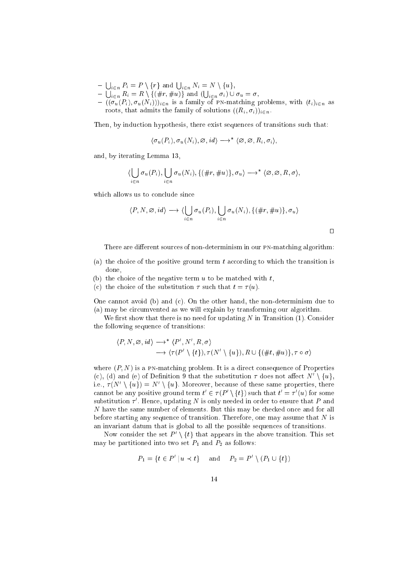- 
- $\begin{array}{l} -\bigcup_{i\in n}P_i=P\setminus\{r\}\text{ and } \bigcup_{i\in n}N_i=N\setminus\{u\},\\ -\bigcup_{i\in n}R_i=R\setminus\{(\#r,\#u)\}\text{ and }(\bigcup_{i\in n}\sigma_i)\cup\sigma_u=\sigma, \end{array}$
- $-((\sigma_u(P_i), \sigma_u(N_i)))_{i \in n}$  is a family of PN-matching problems, with  $(t_i)_{i \in n}$  as roots, that admits the family of solutions  $((R_i, \sigma_i))_{i \in n}$ .

Then, by induction hypothesis, there exist sequences of transitions such that:

$$
\langle \sigma_u(P_i), \sigma_u(N_i), \varnothing, id \rangle \longrightarrow^* \langle \varnothing, \varnothing, R_i, \sigma_i \rangle
$$

and, by iterating Lemma 13,

$$
\langle \bigcup_{i \in n} \sigma_u(P_i), \bigcup_{i \in n} \sigma_u(N_i), \{(\#r, \#u)\}, \sigma_u \rangle \longrightarrow^* \langle \varnothing, \varnothing, R, \sigma \rangle,
$$

which allows us to conclude since

$$
\langle P, N, \varnothing, id \rangle \longrightarrow \langle \bigcup_{i \in n} \sigma_u(P_i), \bigcup_{i \in n} \sigma_u(N_i), \{ (\#r, \#u) \}, \sigma_u \rangle
$$

 $\Box$ 

There are different sources of non-determinism in our PN-matching algorithm:

- (a) the choice of the positive ground term  $t$  according to which the transition is done,
- (b) the choice of the negative term  $u$  to be matched with  $t$ .
- (c) the choice of the substitution  $\tau$  such that  $t = \tau(u)$ .

One cannot avoid (b) and (c). On the other hand, the non-determinism due to (a) may be circumvented as we will explain by transforming our algorithm.

We first show that there is no need for updating  $N$  in Transition (1). Consider the following sequence of transitions:

$$
\langle P, N, \varnothing, id \rangle \longrightarrow^* \langle P', N', R, \sigma \rangle
$$
  

$$
\longrightarrow \langle \tau(P' \setminus \{t\}), \tau(N' \setminus \{u\}), R \cup \{(\#t, \#u)\}, \tau \circ \sigma \rangle
$$

where  $(P, N)$  is a PN-matching problem. It is a direct consequence of Properties (c), (d) and (e) of Definition 9 that the substitution  $\tau$  does not affect  $N' \setminus \{u\}$ , i.e.,  $\tau(N' \setminus \{u\}) = N' \setminus \{u\}$ . Moreover, because of these same properties, there cannot be any positive ground term  $t' \in \tau(P' \setminus \{t\})$  such that  $t' = \tau'(u)$  for some substitution  $\tau'$ . Hence, updating N is only needed in order to ensure that P and N have the same number of elements. But this may be checked once and for all before starting any sequence of transition. Therefore, one may assume that  $N$  is an invariant datum that is global to all the possible sequences of transitions.

Now consider the set  $P' \setminus \{t\}$  that appears in the above transition. This set may be partitioned into two set  $P_1$  and  $P_2$  as follows:

$$
P_1 = \{t \in P' \mid u \prec t\}
$$
 and  $P_2 = P' \setminus (P_1 \cup \{t\})$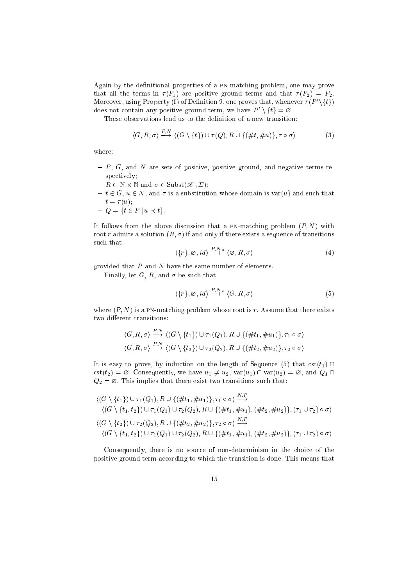Again by the definitional properties of a PN-matching problem, one may prove that all the terms in  $\tau(P_1)$  are positive ground terms and that  $\tau(P_2) = P_2$ . Moreover, using Property (1) of Definition 9, one proves that, whenever  $\tau(P_-(\{t\})$ does not comtain any positive ground term, we have  $P \to \{t\} = \varnothing$ .

These observations lead us to the definition of a new transition:

$$
\langle G, R, \sigma \rangle \stackrel{P, N}{\longrightarrow} \langle (G \setminus \{t\}) \cup \tau(Q), R \cup \{(\#t, \#u)\}, \tau \circ \sigma \rangle \tag{3}
$$

where:

- ${\sf P}$ , G, and N are sets of positive, positive ground, and negative terms respectively;
- $R \subset \mathbb{N} \times \mathbb{N}$  and  $\sigma \in \text{Subst}(\mathscr{X}, \Sigma);$
- $t \in G$ ,  $u \in N$ , and  $\tau$  is a substitution whose domain is var(u) and such that  $t = \tau(u)$ ;

$$
-Q = \{t \in P \mid u \prec t\}.
$$

It follows from the above discussion that a PN-matching problem  $(P, N)$  with root r admits a solution  $(R, \sigma)$  if and only if there exists a sequence of transitions such that:  $\overline{D}$   $\overline{M}$ 

$$
\langle \{r\}, \varnothing, id \rangle \stackrel{P, N^*}{\longrightarrow} \langle \varnothing, R, \sigma \rangle \tag{4}
$$

provided that  $P$  and  $N$  have the same number of elements.

Finally, let G, R, and  $\sigma$  be such that

$$
\langle \{r\}, \varnothing, id \rangle \stackrel{P,N^*}{\longrightarrow} \langle G, R, \sigma \rangle \tag{5}
$$

where  $(P, N)$  is a PN-matching problem whose root is r. Assume that there exists two different transitions:

$$
\langle G, R, \sigma \rangle \stackrel{P,N}{\longrightarrow} \langle (G \setminus \{t_1\}) \cup \tau_1(Q_1), R \cup \{(\#t_1, \#u_1)\}, \tau_1 \circ \sigma \rangle
$$
  

$$
\langle G, R, \sigma \rangle \stackrel{P,N}{\longrightarrow} \langle (G \setminus \{t_2\}) \cup \tau_2(Q_2), R \cup \{(\#t_2, \#u_2)\}, \tau_2 \circ \sigma \rangle
$$

It is easy to prove, by induction on the length of Sequence (5) that  $cst(t_1) \cap$  $\text{cst}(t_2) = \emptyset$ . Consequently, we have  $u_1 \neq u_2$ ,  $\text{var}(u_1) \cap \text{var}(u_2) = \emptyset$ , and  $Q_1 \cap$  $Q_2 = \emptyset$ . This implies that there exist two transitions such that:

$$
\langle (G \setminus \{t_1\}) \cup \tau_1(Q_1), R \cup \{(\#t_1, \#u_1)\}, \tau_1 \circ \sigma \rangle \xrightarrow{N, P} \langle (G \setminus \{t_1, t_2\}) \cup \tau_1(Q_1) \cup \tau_2(Q_2), R \cup \{(\#t_1, \#u_1), (\#t_2, \#u_2)\}, (\tau_1 \cup \tau_2) \circ \sigma \rangle \langle (G \setminus \{t_2\}) \cup \tau_2(Q_2), R \cup \{(\#t_2, \#u_2)\}, \tau_2 \circ \sigma \rangle \xrightarrow{N, P} \langle (G \setminus \{t_1, t_2\}) \cup \tau_1(Q_1) \cup \tau_2(Q_2), R \cup \{(\#t_1, \#u_1), (\#t_2, \#u_2)\}, (\tau_1 \cup \tau_2) \circ \sigma \rangle
$$

Consequently, there is no source of non-determinism in the choice of the positive ground term according to which the transition is done. This means that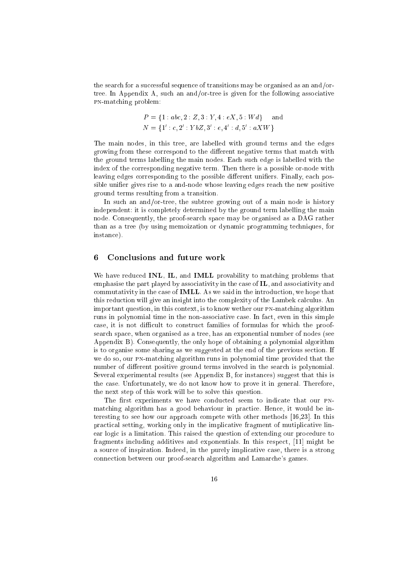the search for a successful sequence of transitions may be organised as an and/ortree. In Appendix A, such an and/or-tree is given for the following associative pn-mat
hing problem:

$$
P = \{1 : abc, 2 : Z, 3 : Y, 4 : eX, 5 : Wd\} \text{ and } N = \{1' : c, 2' : YbZ, 3' : e, 4' : d, 5' : aXW\}
$$

The main nodes, in this tree, are labelled with ground terms and the edges growing from these correspond to the different negative terms that match with the ground terms labelling the main nodes. Ea
h su
h edge is labelled with the index of the orresponding negative term. Then there is a possible or-node with leaving edges corresponding to the possible different unifiers. Finally, each possible unifier gives rise to a and-node whose leaving edges reach the new positive ground terms resulting from a transition.

In su
h an and/or-tree, the subtree growing out of a main node is history independent: it is ompletely determined by the ground term labelling the main node. Consequently, the proof-search space may be organised as a DAG rather than as a tree (by using memoization or dynamic programming techniques, for instan
e).

#### 6 Conclusions and future work

We have reduced **INL, IL**, and **IMLL** provability to matching problems that emphasise the part played by associativity in the case of IL, and associativity and commutativity in the case of **IMLL**. As we said in the introduction, we hope that this reduction will give an insight into the complexity of the Lambek calculus. An important question, in this context, is to know wether our PN-matching algorithm runs in polynomial time in the non-associative case. In fact, even in this simple case, it is not difficult to construct families of formulas for which the proofsear
h spa
e, when organised as a tree, has an exponential number of nodes (see Appendix B). Consequently, the only hope of obtaining a polynomial algorithm is to organise some sharing as we suggested at the end of the previous section. If we do so, our PN-matching algorithm runs in polynomial time provided that the number of different positive ground terms involved in the search is polynomial. Several experimental results (see Appendix B, for instan
es) suggest that this is the ase. Unfortunately, we do not know how to prove it in general. Therefore, the next step of this work will be to solve this question.

The first experiments we have conducted seem to indicate that our PNmatching algorithm has a good behaviour in practice. Hence, it would be interesting to see how our approach compete with other methods  $[16,23]$ . In this practical setting, working only in the implicative fragment of mutiplicative linear logic is a limitation. This raised the question of extending our procedure to fragments including additives and exponentials. In this respect,  $[11]$  might be a sour
e of inspiration. Indeed, in the purely impli
ative ase, there is a strong onne
tion between our proof-sear
h algorithm and Lamar
he's games.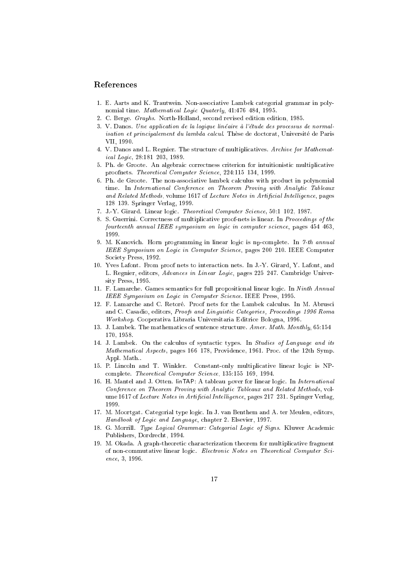### Referen
es

- 1. E. Aarts and K. Trautwein. Non-asso
iative Lambek ategorial grammar in polynomial time. Mathematical Logic Quaterly, 41:476-484, 1995.
- 2. C. Berge. Graphs. North-Holland, se
ond revised edition edition, 1985.
- $3. V.$  Danos. Une application de la logique linéaire à l'étude des processus de normalisation et principalement du lambda calcul. Thèse de doctorat, Université de Paris VII, 1990.
- 4. V. Danos and L. Regnier. The structure of multiplicatives. Archive for Mathematical Logic, 28:181-203, 1989.
- 5. Ph. de Groote. An algebraic correctness criterion for intuitionistic multiplicative proofnets. Theoretical Computer Science, 224:115-134, 1999.
- 6. Ph. de Groote. The non-associative lambek calculus with product in polynomial time. In International Conference on Theorem Proving with Analytic Tableaux and Related Methods, volume 1617 of Lecture Notes in Artificial Intelligence, pages 128-139. Springer Verlag, 1999.
- 7. J.-Y. Girard. Linear logic. Theoretical Computer Science, 50:1-102, 1987.
- 8. S. Guerrini. Correctness of multiplicative proof-nets is linear. In Proceedings of the fourteenth annual IEEE symposium on logic in computer science, pages 454-463, 1999
- 9. M. Kanovich. Horn programming in linear logic is np-complete. In 7-th annual IEEE Symposium on Logic in Computer Science, pages 200-210. IEEE Computer So
iety Press, 1992.
- 10. Yves Lafont. From proof nets to intera
tion nets. In J.-Y. Girard, Y. Lafont, and L. Regnier, editors, Advances in Linear Logic, pages 225-247. Cambridge University Press, 1995.
- 11. F. Lamarche. Games semantics for full propositional linear logic. In Ninth Annual IEEE Symposium on Logic in Computer Science. IEEE Press, 1995.
- 12. F. Lamarche and C. Retoré. Proof nets for the Lambek calculus. In M. Abrusci and C. Casadio, editors, *Proofs and Linguistic Categories*, *Proceedings 1996 Roma* Workshop. Cooperativa Libraria Universitaria Editri
e Bologna, 1996.
- 13. J. Lambek. The mathematics of sentence structure. Amer. Math. Monthly, 65:154– 170, 1958.
- 14. J. Lambek. On the calculus of syntactic types. In Studies of Language and its Mathematical Aspects, pages 166-178, Providence, 1961. Proc. of the 12th Symp. Appl. Math..
- 15. P. Lin
oln and T. Winkler. Constant-only multipli
ative linear logi is NP complete. Theoretical Computer Science, 135:155-169, 1994.
- 16. H. Mantel and J. Otten. linTAP: A tableau pover for linear logic. In International Conferen
e on Theorem Proving with Analyti Tableaux and Related Methods, volume 1617 of Lecture Notes in Artificial Intelligence, pages 217-231. Springer Verlag, 1999.
- 17. M. Moortgat. Categorial type logi
. In J. van Benthem and A. ter Meulen, editors, Handbook of Logic and Language, chapter 2. Elsevier, 1997.
- 18. G. Morrill. Type Logical Grammar: Categorial Logic of Signs. Kluwer Academic Publishers, Dordre
ht, 1994.
- 19. M. Okada. A graph-theoretic characterization theorem for multiplicative fragment of non-commutative linear logic. Electronic Notes on Theoretical Computer Science, 3, 1996.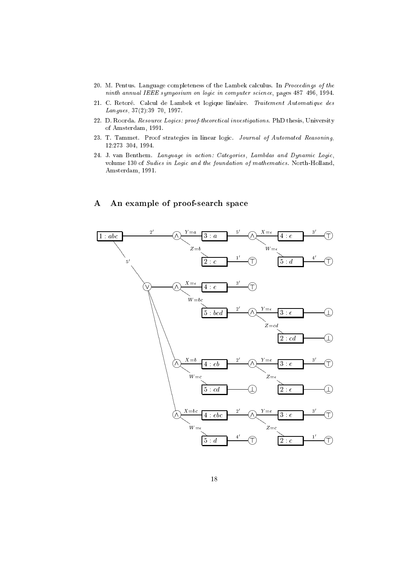- 20. M. Pentus. Language completeness of the Lambek calculus. In Proceedings of the ninth annual IEEE symposium on logic in computer science, pages 487-496, 1994.
- 21. C. Retoré. Calcul de Lambek et logique linéaire. Traitement Automatique des Langues, 37(2):39-70, 1997.
- 22. D. Roorda. Resource Logics: proof-theoretical investigations. PhD thesis, University of Amsterdam, 1991.
- 23. T. Tammet. Proof strategies in linear logic. Journal of Automated Reasoning,  $12:273-304, 1994.$
- 24. J. van Benthem. Language in action: Categories, Lambdas and Dynamic Logic, volume 130 of Sudies in Logic and the foundation of mathematics. North-Holland, Amsterdam, 1991.

#### $\mathbf{A}$ An example of proof-search space

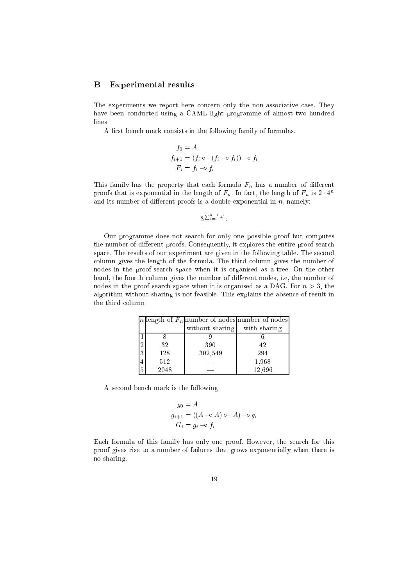### B Experimental results

The experiments we report here concern only the non-associative case. They have been conducted using a CAML light programme of almost two hundred lines.

A first bench mark consists in the following family of formulas.

$$
f_0 = A
$$
  
\n
$$
f_{i+1} = (f_i \circ (f_i \circ f_i)) \circ f_i
$$
  
\n
$$
F_i = f_i \circ f_i
$$

This family has the property that each formula  $F_n$  has a number of different proofs that is exponential in the length of  $F_n$ . In fact, the length of  $F_n$  is  $2 \cdot 4^n$ and its number of different proofs is a double exponential in  $n$ , namely:

```
\sum_{i=0}^{n-1} 4^i
```
Our programme does not sear
h for only one possible proof but omputes the number of different proofs. Consequently, it explores the entire proof-search space. The results of our experiment are given in the following table. The second olumn gives the length of the formula. The third olumn gives the number of nodes in the proof-sear
h spa
e when it is organised as a tree. On the other hand, the fourth column gives the number of different nodes, i.e, the number of nodes in the proof-search space when it is organised as a DAG. For  $n > 3$ , the algorithm without sharing is not feasible. This explains the absen
e of result in the third olumn.

|                |      | n  ength of $F_n$  number of nodes number of nodes |              |
|----------------|------|----------------------------------------------------|--------------|
|                |      | without sharing                                    | with sharing |
|                |      |                                                    |              |
| $^{9}$         | 32   | 390                                                | 42           |
| 3              | 128  | 302,549                                            | 294          |
| 4              | 512  |                                                    | 1,968        |
| $\overline{5}$ | 2048 |                                                    | 12,696       |

A se
ond ben
h mark is the following.

$$
g_0 = A
$$
  
\n
$$
g_{i+1} = ((A \neg A) \neg A) \neg a_j
$$
  
\n
$$
G_i = g_i \neg a_j
$$

Each formula of this family has only one proof. However, the search for this proof gives rise to a number of failures that grows exponentially when there is no sharing.